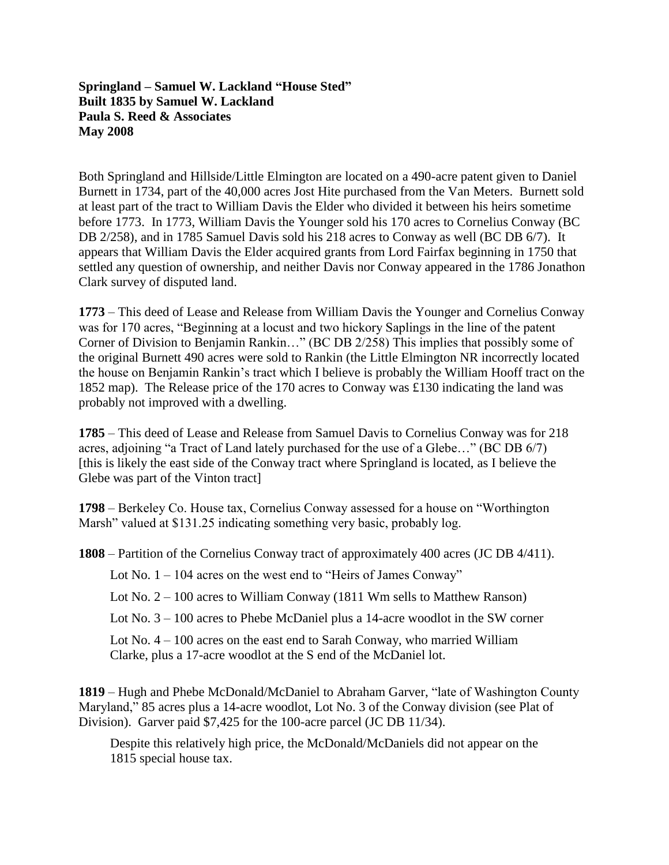## **Springland – Samuel W. Lackland "House Sted" Built 1835 by Samuel W. Lackland Paula S. Reed & Associates May 2008**

Both Springland and Hillside/Little Elmington are located on a 490-acre patent given to Daniel Burnett in 1734, part of the 40,000 acres Jost Hite purchased from the Van Meters. Burnett sold at least part of the tract to William Davis the Elder who divided it between his heirs sometime before 1773. In 1773, William Davis the Younger sold his 170 acres to Cornelius Conway (BC DB 2/258), and in 1785 Samuel Davis sold his 218 acres to Conway as well (BC DB 6/7). It appears that William Davis the Elder acquired grants from Lord Fairfax beginning in 1750 that settled any question of ownership, and neither Davis nor Conway appeared in the 1786 Jonathon Clark survey of disputed land.

**1773** – This deed of Lease and Release from William Davis the Younger and Cornelius Conway was for 170 acres, "Beginning at a locust and two hickory Saplings in the line of the patent Corner of Division to Benjamin Rankin…" (BC DB 2/258) This implies that possibly some of the original Burnett 490 acres were sold to Rankin (the Little Elmington NR incorrectly located the house on Benjamin Rankin's tract which I believe is probably the William Hooff tract on the 1852 map). The Release price of the 170 acres to Conway was £130 indicating the land was probably not improved with a dwelling.

**1785** – This deed of Lease and Release from Samuel Davis to Cornelius Conway was for 218 acres, adjoining "a Tract of Land lately purchased for the use of a Glebe…" (BC DB 6/7) [this is likely the east side of the Conway tract where Springland is located, as I believe the Glebe was part of the Vinton tract]

**1798** – Berkeley Co. House tax, Cornelius Conway assessed for a house on "Worthington Marsh" valued at \$131.25 indicating something very basic, probably log.

**1808** – Partition of the Cornelius Conway tract of approximately 400 acres (JC DB 4/411).

Lot No. 1 – 104 acres on the west end to "Heirs of James Conway"

Lot No. 2 – 100 acres to William Conway (1811 Wm sells to Matthew Ranson)

Lot No. 3 – 100 acres to Phebe McDaniel plus a 14-acre woodlot in the SW corner

Lot No. 4 – 100 acres on the east end to Sarah Conway, who married William Clarke, plus a 17-acre woodlot at the S end of the McDaniel lot.

**1819** – Hugh and Phebe McDonald/McDaniel to Abraham Garver, "late of Washington County Maryland," 85 acres plus a 14-acre woodlot, Lot No. 3 of the Conway division (see Plat of Division). Garver paid \$7,425 for the 100-acre parcel (JC DB 11/34).

Despite this relatively high price, the McDonald/McDaniels did not appear on the 1815 special house tax.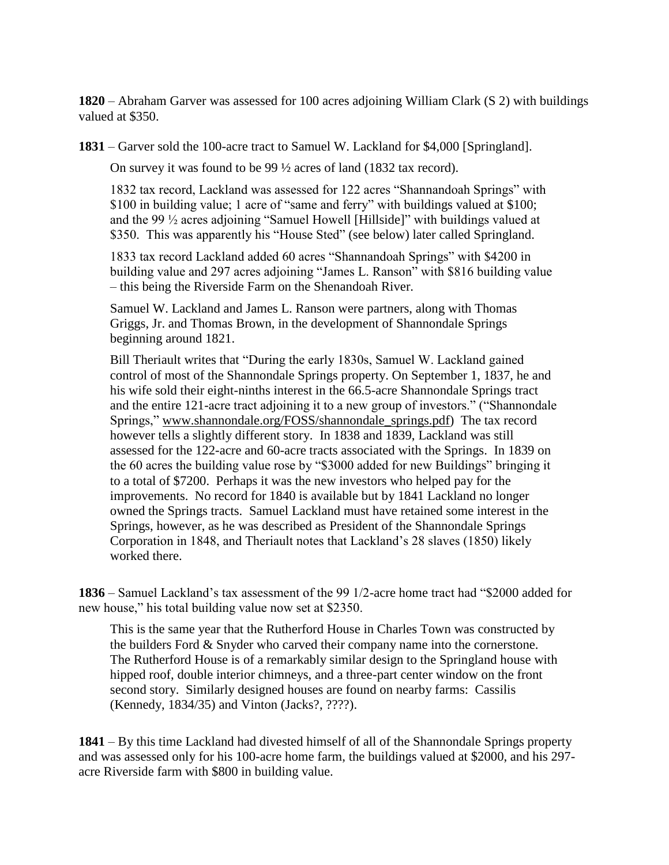**1820** – Abraham Garver was assessed for 100 acres adjoining William Clark (S 2) with buildings valued at \$350.

**1831** – Garver sold the 100-acre tract to Samuel W. Lackland for \$4,000 [Springland].

On survey it was found to be 99 ½ acres of land (1832 tax record).

1832 tax record, Lackland was assessed for 122 acres "Shannandoah Springs" with \$100 in building value; 1 acre of "same and ferry" with buildings valued at \$100; and the 99 ½ acres adjoining "Samuel Howell [Hillside]" with buildings valued at \$350. This was apparently his "House Sted" (see below) later called Springland.

1833 tax record Lackland added 60 acres "Shannandoah Springs" with \$4200 in building value and 297 acres adjoining "James L. Ranson" with \$816 building value – this being the Riverside Farm on the Shenandoah River.

Samuel W. Lackland and James L. Ranson were partners, along with Thomas Griggs, Jr. and Thomas Brown, in the development of Shannondale Springs beginning around 1821.

Bill Theriault writes that "During the early 1830s, Samuel W. Lackland gained control of most of the Shannondale Springs property. On September 1, 1837, he and his wife sold their eight-ninths interest in the 66.5-acre Shannondale Springs tract and the entire 121-acre tract adjoining it to a new group of investors." ("Shannondale Springs," [www.shannondale.org/FOSS/shannondale\\_springs.pdf\)](http://www.shannondale.org/FOSS/shannondale_springs.pdf) The tax record however tells a slightly different story. In 1838 and 1839, Lackland was still assessed for the 122-acre and 60-acre tracts associated with the Springs. In 1839 on the 60 acres the building value rose by "\$3000 added for new Buildings" bringing it to a total of \$7200. Perhaps it was the new investors who helped pay for the improvements. No record for 1840 is available but by 1841 Lackland no longer owned the Springs tracts. Samuel Lackland must have retained some interest in the Springs, however, as he was described as President of the Shannondale Springs Corporation in 1848, and Theriault notes that Lackland's 28 slaves (1850) likely worked there.

**1836** – Samuel Lackland's tax assessment of the 99 1/2-acre home tract had "\$2000 added for new house," his total building value now set at \$2350.

This is the same year that the Rutherford House in Charles Town was constructed by the builders Ford & Snyder who carved their company name into the cornerstone. The Rutherford House is of a remarkably similar design to the Springland house with hipped roof, double interior chimneys, and a three-part center window on the front second story. Similarly designed houses are found on nearby farms: Cassilis (Kennedy, 1834/35) and Vinton (Jacks?, ????).

**1841** – By this time Lackland had divested himself of all of the Shannondale Springs property and was assessed only for his 100-acre home farm, the buildings valued at \$2000, and his 297 acre Riverside farm with \$800 in building value.